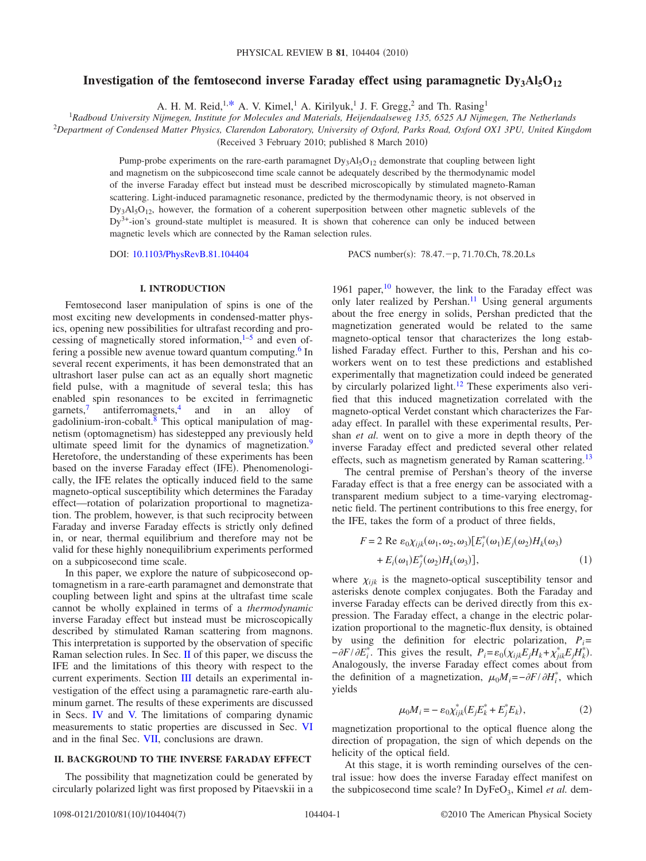# **Investigation of the femtosecond inverse Faraday effect using paramagnetic**  $Dy_3AI_5O_{12}$

A. H. M. Reid,<sup>1[,\\*](#page-6-0)</sup> A. V. Kimel,<sup>1</sup> A. Kirilyuk,<sup>1</sup> J. F. Gregg,<sup>2</sup> and Th. Rasing<sup>1</sup>

<sup>1</sup> Radboud University Nijmegen, Institute for Molecules and Materials, Heijendaalseweg 135, 6525 AJ Nijmegen, The Netherlands 2 *Department of Condensed Matter Physics, Clarendon Laboratory, University of Oxford, Parks Road, Oxford OX1 3PU, United Kingdom*

(Received 3 February 2010; published 8 March  $2010$ )

Pump-probe experiments on the rare-earth paramagnet  $Dy_3Al_5O_{12}$  demonstrate that coupling between light and magnetism on the subpicosecond time scale cannot be adequately described by the thermodynamic model of the inverse Faraday effect but instead must be described microscopically by stimulated magneto-Raman scattering. Light-induced paramagnetic resonance, predicted by the thermodynamic theory, is not observed in  $Dy_3Al_5O_{12}$ , however, the formation of a coherent superposition between other magnetic sublevels of the  $Dy^{3+}$ -ion's ground-state multiplet is measured. It is shown that coherence can only be induced between magnetic levels which are connected by the Raman selection rules.

DOI: [10.1103/PhysRevB.81.104404](http://dx.doi.org/10.1103/PhysRevB.81.104404)

PACS number(s): 78.47. - p, 71.70.Ch, 78.20.Ls

## **I. INTRODUCTION**

Femtosecond laser manipulation of spins is one of the most exciting new developments in condensed-matter physics, opening new possibilities for ultrafast recording and processing of magnetically stored information, $1-5$  $1-5$  and even offering a possible new avenue toward quantum computing.<sup>6</sup> In several recent experiments, it has been demonstrated that an ultrashort laser pulse can act as an equally short magnetic field pulse, with a magnitude of several tesla; this has enabled spin resonances to be excited in ferrimagnetic garnets,<sup>7</sup> antiferromagnets,<sup>4</sup> and in an alloy of antiferromagnets, $\frac{4}{ }$  and in an alloy of gadolinium-iron-cobalt. $8$  This optical manipulation of magnetism (optomagnetism) has sidestepped any previously held ultimate speed limit for the dynamics of magnetization.<sup>9</sup> Heretofore, the understanding of these experiments has been based on the inverse Faraday effect (IFE). Phenomenologically, the IFE relates the optically induced field to the same magneto-optical susceptibility which determines the Faraday effect—rotation of polarization proportional to magnetization. The problem, however, is that such reciprocity between Faraday and inverse Faraday effects is strictly only defined in, or near, thermal equilibrium and therefore may not be valid for these highly nonequilibrium experiments performed on a subpicosecond time scale.

In this paper, we explore the nature of subpicosecond optomagnetism in a rare-earth paramagnet and demonstrate that coupling between light and spins at the ultrafast time scale cannot be wholly explained in terms of a *thermodynamic* inverse Faraday effect but instead must be microscopically described by stimulated Raman scattering from magnons. This interpretation is supported by the observation of specific Raman selection rules. In Sec. [II](#page-0-0) of this paper, we discuss the IFE and the limitations of this theory with respect to the current experiments. Section [III](#page-1-0) details an experimental investigation of the effect using a paramagnetic rare-earth aluminum garnet. The results of these experiments are discussed in Secs. [IV](#page-1-1) and [V.](#page-3-0) The limitations of comparing dynamic measurements to static properties are discussed in Sec. [VI](#page-4-0) and in the final Sec. [VII,](#page-5-0) conclusions are drawn.

## <span id="page-0-0"></span>**II. BACKGROUND TO THE INVERSE FARADAY EFFECT**

The possibility that magnetization could be generated by circularly polarized light was first proposed by Pitaevskii in a

1961 paper, $10$  however, the link to the Faraday effect was only later realized by Pershan.<sup>11</sup> Using general arguments about the free energy in solids, Pershan predicted that the magnetization generated would be related to the same magneto-optical tensor that characterizes the long established Faraday effect. Further to this, Pershan and his coworkers went on to test these predictions and established experimentally that magnetization could indeed be generated by circularly polarized light.<sup>12</sup> These experiments also verified that this induced magnetization correlated with the magneto-optical Verdet constant which characterizes the Faraday effect. In parallel with these experimental results, Pershan *et al.* went on to give a more in depth theory of the inverse Faraday effect and predicted several other related effects, such as magnetism generated by Raman scattering.<sup>13</sup>

The central premise of Pershan's theory of the inverse Faraday effect is that a free energy can be associated with a transparent medium subject to a time-varying electromagnetic field. The pertinent contributions to this free energy, for the IFE, takes the form of a product of three fields,

$$
F = 2 \text{ Re } \varepsilon_0 \chi_{ijk}(\omega_1, \omega_2, \omega_3) [E_i^*(\omega_1) E_j(\omega_2) H_k(\omega_3)
$$
  
+  $E_i(\omega_1) E_j^*(\omega_2) H_k(\omega_3) ]$ , (1)

where  $\chi_{ijk}$  is the magneto-optical susceptibility tensor and asterisks denote complex conjugates. Both the Faraday and inverse Faraday effects can be derived directly from this expression. The Faraday effect, a change in the electric polarization proportional to the magnetic-flux density, is obtained by using the definition for electric polarization,  $P_i =$  $-\partial F/\partial E_i^*$ . This gives the result,  $P_i = \varepsilon_0(\chi_{ijk} E_j H_k + \chi_{jik}^* E_j H_k^*)$ . Analogously, the inverse Faraday effect comes about from the definition of a magnetization,  $\mu_0 M_i = -\partial F / \partial H_i^*$ , which yields

$$
\mu_0 M_i = -\varepsilon_0 \chi_{ijk}^* (E_j E_k^* + E_j^* E_k), \tag{2}
$$

<span id="page-0-1"></span>magnetization proportional to the optical fluence along the direction of propagation, the sign of which depends on the helicity of the optical field.

At this stage, it is worth reminding ourselves of the central issue: how does the inverse Faraday effect manifest on the subpicosecond time scale? In DyFeO<sub>3</sub>, Kimel *et al.* dem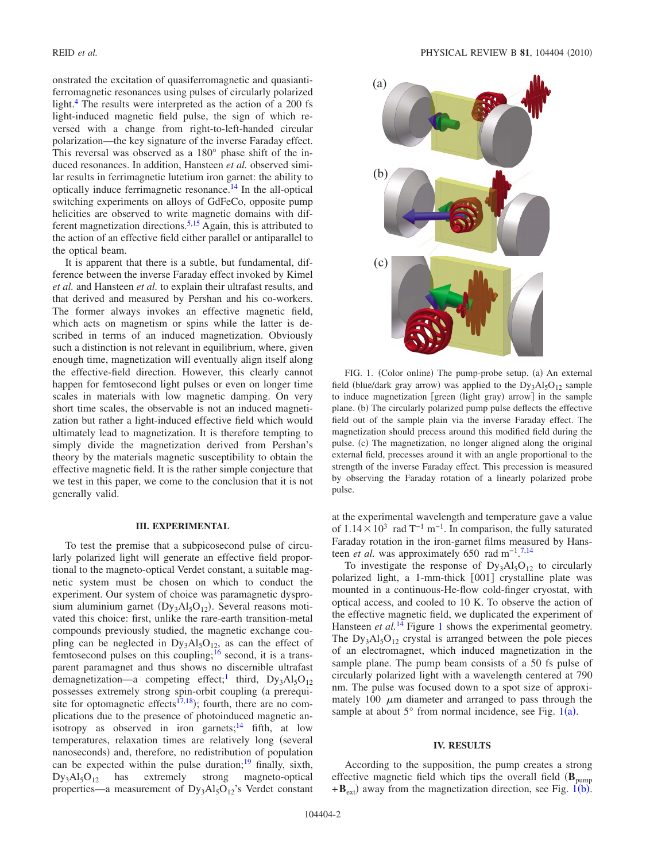onstrated the excitation of quasiferromagnetic and quasiantiferromagnetic resonances using pulses of circularly polarized light.<sup>4</sup> The results were interpreted as the action of a 200 fs light-induced magnetic field pulse, the sign of which reversed with a change from right-to-left-handed circular polarization—the key signature of the inverse Faraday effect. This reversal was observed as a 180° phase shift of the induced resonances. In addition, Hansteen *et al.* observed similar results in ferrimagnetic lutetium iron garnet: the ability to optically induce ferrimagnetic resonance[.14](#page-6-12) In the all-optical switching experiments on alloys of GdFeCo, opposite pump helicities are observed to write magnetic domains with dif-ferent magnetization directions.<sup>5,[15](#page-6-13)</sup> Again, this is attributed to the action of an effective field either parallel or antiparallel to the optical beam.

It is apparent that there is a subtle, but fundamental, difference between the inverse Faraday effect invoked by Kimel *et al.* and Hansteen *et al.* to explain their ultrafast results, and that derived and measured by Pershan and his co-workers. The former always invokes an effective magnetic field, which acts on magnetism or spins while the latter is described in terms of an induced magnetization. Obviously such a distinction is not relevant in equilibrium, where, given enough time, magnetization will eventually align itself along the effective-field direction. However, this clearly cannot happen for femtosecond light pulses or even on longer time scales in materials with low magnetic damping. On very short time scales, the observable is not an induced magnetization but rather a light-induced effective field which would ultimately lead to magnetization. It is therefore tempting to simply divide the magnetization derived from Pershan's theory by the materials magnetic susceptibility to obtain the effective magnetic field. It is the rather simple conjecture that we test in this paper, we come to the conclusion that it is not generally valid.

## **III. EXPERIMENTAL**

<span id="page-1-0"></span>To test the premise that a subpicosecond pulse of circularly polarized light will generate an effective field proportional to the magneto-optical Verdet constant, a suitable magnetic system must be chosen on which to conduct the experiment. Our system of choice was paramagnetic dysprosium aluminium garnet  $(Dy_3Al_5O_{12})$ . Several reasons motivated this choice: first, unlike the rare-earth transition-metal compounds previously studied, the magnetic exchange coupling can be neglected in  $Dy_3Al_5O_{12}$ , as can the effect of femtosecond pulses on this coupling; $16$  second, it is a transparent paramagnet and thus shows no discernible ultrafast demagnetization—a competing effect;<sup>1</sup> third,  $Dy_3Al_5O_{12}$ possesses extremely strong spin-orbit coupling (a prerequi-site for optomagnetic effects<sup>17[,18](#page-6-16)</sup>); fourth, there are no complications due to the presence of photoinduced magnetic anisotropy as observed in iron garnets; $14$  fifth, at low temperatures, relaxation times are relatively long (several nanoseconds) and, therefore, no redistribution of population can be expected within the pulse duration; $^{19}$  finally, sixth,  $Dy_3Al_5O_{12}$  has extremely strong magneto-optical properties—a measurement of  $Dy_3Al_5O_{12}$ 's Verdet constant

<span id="page-1-2"></span>

FIG. 1. (Color online) The pump-probe setup. (a) An external field (blue/dark gray arrow) was applied to the  $Dy_3Al_5O_{12}$  sample to induce magnetization [green (light gray) arrow] in the sample plane. (b) The circularly polarized pump pulse deflects the effective field out of the sample plain via the inverse Faraday effect. The magnetization should precess around this modified field during the pulse. (c) The magnetization, no longer aligned along the original external field, precesses around it with an angle proportional to the strength of the inverse Faraday effect. This precession is measured by observing the Faraday rotation of a linearly polarized probe pulse.

at the experimental wavelength and temperature gave a value of  $1.14 \times 10^3$  rad T<sup>-1</sup> m<sup>-1</sup>. In comparison, the fully saturated Faraday rotation in the iron-garnet films measured by Hansteen *et al.* was approximately 650 rad  $m^{-1}$ .<sup>[7,](#page-6-4)[14](#page-6-12)</sup>

To investigate the response of  $Dy_3Al_5O_{12}$  to circularly polarized light, a 1-mm-thick [001] crystalline plate was mounted in a continuous-He-flow cold-finger cryostat, with optical access, and cooled to 10 K. To observe the action of the effective magnetic field, we duplicated the experiment of Hansteen *et al.*<sup>[14](#page-6-12)</sup> Figure [1](#page-1-2) shows the experimental geometry. The  $Dy_3Al_5O_{12}$  crystal is arranged between the pole pieces of an electromagnet, which induced magnetization in the sample plane. The pump beam consists of a 50 fs pulse of circularly polarized light with a wavelength centered at 790 nm. The pulse was focused down to a spot size of approximately 100  $\mu$ m diameter and arranged to pass through the sample at about  $5^{\circ}$  from normal incidence, see Fig. [1](#page-1-2)(a).

#### **IV. RESULTS**

<span id="page-1-1"></span>According to the supposition, the pump creates a strong effective magnetic field which tips the overall field  $(B_{pump}$  $+$ **B**<sub>ext</sub>) away from the magnetization direction, see Fig. [1](#page-1-2)(b).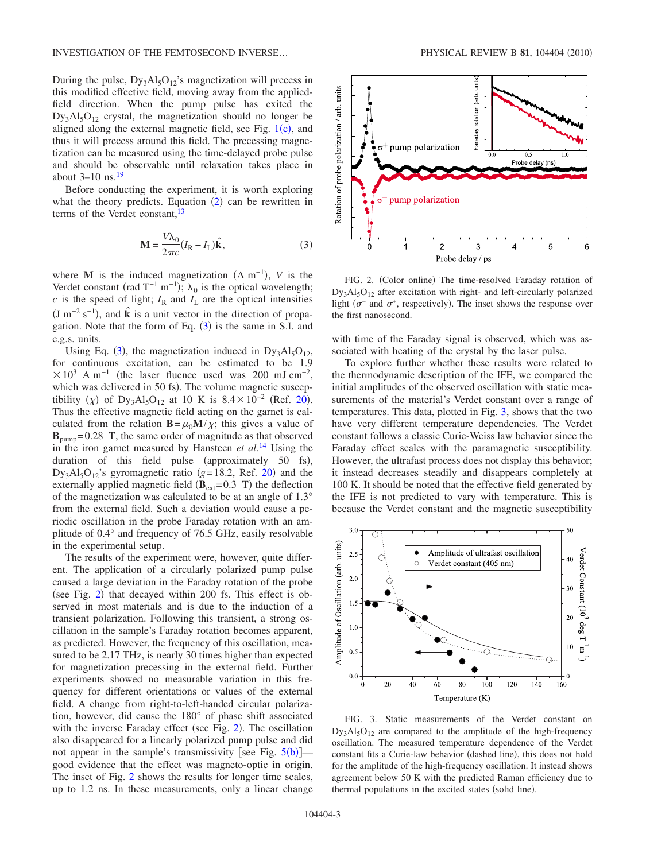During the pulse,  $Dy_3Al_5O_{12}$ 's magnetization will precess in this modified effective field, moving away from the appliedfield direction. When the pump pulse has exited the  $Dy_3Al_5O_{12}$  crystal, the magnetization should no longer be aligned along the external magnetic field, see Fig.  $1(c)$  $1(c)$ , and thus it will precess around this field. The precessing magnetization can be measured using the time-delayed probe pulse and should be observable until relaxation takes place in about 3–10 ns[.19](#page-6-17)

Before conducting the experiment, it is worth exploring what the theory predicts. Equation  $(2)$  $(2)$  $(2)$  can be rewritten in terms of the Verdet constant,  $13$ 

$$
\mathbf{M} = \frac{V\lambda_0}{2\pi c} (I_R - I_L)\hat{\mathbf{k}},
$$
\n(3)

<span id="page-2-0"></span>where **M** is the induced magnetization  $(A \text{ m}^{-1})$ , *V* is the Verdet constant (rad T<sup>-1</sup> m<sup>-1</sup>);  $\lambda_0$  is the optical wavelength; *c* is the speed of light;  $I_R$  and  $I_L$  are the optical intensities  $(J m^{-2} s^{-1})$ , and  $\hat{\mathbf{k}}$  is a unit vector in the direction of propagation. Note that the form of Eq.  $(3)$  $(3)$  $(3)$  is the same in S.I. and c.g.s. units.

Using Eq. ([3](#page-2-0)), the magnetization induced in  $Dy_3Al_5O_{12}$ , for continuous excitation, can be estimated to be 1.9  $\times$ 10<sup>3</sup> A m<sup>-1</sup> (the laser fluence used was 200 mJ cm<sup>-2</sup>, which was delivered in 50 fs). The volume magnetic susceptibility ( $\chi$ ) of Dy<sub>3</sub>Al<sub>5</sub>O<sub>12</sub> at 10 K is 8.4 × 10<sup>-2</sup> (Ref. [20](#page-6-18)). Thus the effective magnetic field acting on the garnet is calculated from the relation  $\mathbf{B} = \mu_0 \mathbf{M}/\chi$ ; this gives a value of  $\mathbf{B}_{\text{pump}} = 0.28$  T, the same order of magnitude as that observed in the iron garnet measured by Hansteen *et al.*[14](#page-6-12) Using the duration of this field pulse (approximately 50 fs), Dy<sub>3</sub>Al<sub>5</sub>O<sub>12</sub>'s gyromagnetic ratio ( $g=18.2$ , Ref. [20](#page-6-18)) and the externally applied magnetic field  $(\mathbf{B}_{ext} = 0.3 \text{ T})$  the deflection of the magnetization was calculated to be at an angle of 1.3° from the external field. Such a deviation would cause a periodic oscillation in the probe Faraday rotation with an amplitude of 0.4° and frequency of 76.5 GHz, easily resolvable in the experimental setup.

The results of the experiment were, however, quite different. The application of a circularly polarized pump pulse caused a large deviation in the Faraday rotation of the probe (see Fig.  $2$ ) that decayed within 200 fs. This effect is observed in most materials and is due to the induction of a transient polarization. Following this transient, a strong oscillation in the sample's Faraday rotation becomes apparent, as predicted. However, the frequency of this oscillation, measured to be 2.17 THz, is nearly 30 times higher than expected for magnetization precessing in the external field. Further experiments showed no measurable variation in this frequency for different orientations or values of the external field. A change from right-to-left-handed circular polarization, however, did cause the 180° of phase shift associated with the inverse Faraday effect (see Fig. [2](#page-2-1)). The oscillation also disappeared for a linearly polarized pump pulse and did not appear in the sample's transmissivity [see Fig.  $5(b)$  $5(b)$ ] good evidence that the effect was magneto-optic in origin. The inset of Fig. [2](#page-2-1) shows the results for longer time scales, up to 1.2 ns. In these measurements, only a linear change

<span id="page-2-1"></span>

FIG. 2. (Color online) The time-resolved Faraday rotation of  $Dy_3Al_5O_{12}$  after excitation with right- and left-circularly polarized light  $(\sigma^-$  and  $\sigma^+$ , respectively). The inset shows the response over the first nanosecond.

with time of the Faraday signal is observed, which was associated with heating of the crystal by the laser pulse.

To explore further whether these results were related to the thermodynamic description of the IFE, we compared the initial amplitudes of the observed oscillation with static measurements of the material's Verdet constant over a range of temperatures. This data, plotted in Fig. [3,](#page-2-2) shows that the two have very different temperature dependencies. The Verdet constant follows a classic Curie-Weiss law behavior since the Faraday effect scales with the paramagnetic susceptibility. However, the ultrafast process does not display this behavior; it instead decreases steadily and disappears completely at 100 K. It should be noted that the effective field generated by the IFE is not predicted to vary with temperature. This is because the Verdet constant and the magnetic susceptibility

<span id="page-2-2"></span>

FIG. 3. Static measurements of the Verdet constant on  $Dy_3Al_5O_{12}$  are compared to the amplitude of the high-frequency oscillation. The measured temperature dependence of the Verdet constant fits a Curie-law behavior (dashed line), this does not hold for the amplitude of the high-frequency oscillation. It instead shows agreement below 50 K with the predicted Raman efficiency due to thermal populations in the excited states (solid line).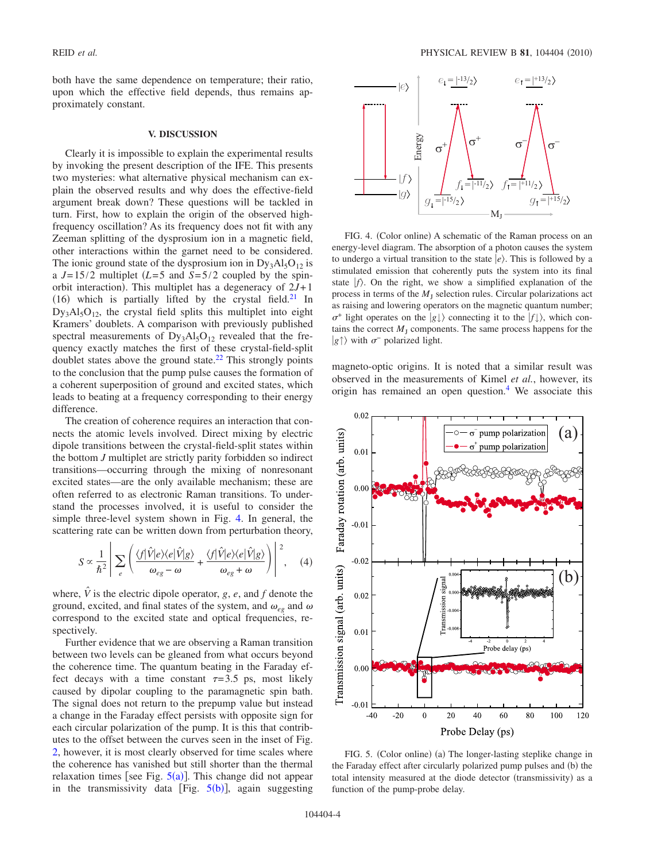both have the same dependence on temperature; their ratio, upon which the effective field depends, thus remains approximately constant.

### **V. DISCUSSION**

<span id="page-3-0"></span>Clearly it is impossible to explain the experimental results by invoking the present description of the IFE. This presents two mysteries: what alternative physical mechanism can explain the observed results and why does the effective-field argument break down? These questions will be tackled in turn. First, how to explain the origin of the observed highfrequency oscillation? As its frequency does not fit with any Zeeman splitting of the dysprosium ion in a magnetic field, other interactions within the garnet need to be considered. The ionic ground state of the dysprosium ion in  $Dy_3Al_5O_{12}$  is a  $J=15/2$  multiplet  $(L=5$  and  $S=5/2$  coupled by the spinorbit interaction). This multiplet has a degeneracy of  $2J+1$  $(16)$  which is partially lifted by the crystal field.<sup>21</sup> In  $Dy_3Al_5O_{12}$ , the crystal field splits this multiplet into eight Kramers' doublets. A comparison with previously published spectral measurements of  $Dy_3Al_5O_{12}$  revealed that the frequency exactly matches the first of these crystal-field-split doublet states above the ground state. $^{22}$  This strongly points to the conclusion that the pump pulse causes the formation of a coherent superposition of ground and excited states, which leads to beating at a frequency corresponding to their energy difference.

The creation of coherence requires an interaction that connects the atomic levels involved. Direct mixing by electric dipole transitions between the crystal-field-split states within the bottom *J* multiplet are strictly parity forbidden so indirect transitions—occurring through the mixing of nonresonant excited states—are the only available mechanism; these are often referred to as electronic Raman transitions. To understand the processes involved, it is useful to consider the simple three-level system shown in Fig. [4.](#page-3-2) In general, the scattering rate can be written down from perturbation theory,

<span id="page-3-3"></span>
$$
S \propto \frac{1}{\hbar^2} \left| \sum_{e} \left( \frac{\langle f | \hat{V} | e \rangle \langle e | \hat{V} | g \rangle}{\omega_{eg} - \omega} + \frac{\langle f | \hat{V} | e \rangle \langle e | \hat{V} | g \rangle}{\omega_{eg} + \omega} \right) \right|^2, \quad (4)
$$

where,  $\hat{V}$  is the electric dipole operator, *g*, *e*, and *f* denote the ground, excited, and final states of the system, and  $\omega_{eg}$  and  $\omega$ correspond to the excited state and optical frequencies, respectively.

Further evidence that we are observing a Raman transition between two levels can be gleaned from what occurs beyond the coherence time. The quantum beating in the Faraday effect decays with a time constant  $\tau = 3.5$  ps, most likely caused by dipolar coupling to the paramagnetic spin bath. The signal does not return to the prepump value but instead a change in the Faraday effect persists with opposite sign for each circular polarization of the pump. It is this that contributes to the offset between the curves seen in the inset of Fig. [2,](#page-2-1) however, it is most clearly observed for time scales where the coherence has vanished but still shorter than the thermal relaxation times [see Fig.  $5(a)$  $5(a)$ ]. This change did not appear in the transmissivity data [Fig.  $5(b)$  $5(b)$ ], again suggesting

<span id="page-3-2"></span>

FIG. 4. (Color online) A schematic of the Raman process on an energy-level diagram. The absorption of a photon causes the system to undergo a virtual transition to the state  $|e\rangle$ . This is followed by a stimulated emission that coherently puts the system into its final state  $\ket{f}$ . On the right, we show a simplified explanation of the process in terms of the  $M<sub>I</sub>$  selection rules. Circular polarizations act as raising and lowering operators on the magnetic quantum number;  $\sigma^+$  light operates on the  $|g\downarrow\rangle$  connecting it to the  $|f\downarrow\rangle$ , which contains the correct  $M<sub>I</sub>$  components. The same process happens for the  $|g\uparrow\rangle$  with  $\sigma$ <sup>-</sup> polarized light.

magneto-optic origins. It is noted that a similar result was observed in the measurements of Kimel *et al.*, however, its origin has remained an open question.<sup>4</sup> We associate this

<span id="page-3-1"></span>

FIG. 5. (Color online) (a) The longer-lasting steplike change in the Faraday effect after circularly polarized pump pulses and (b) the total intensity measured at the diode detector (transmissivity) as a function of the pump-probe delay.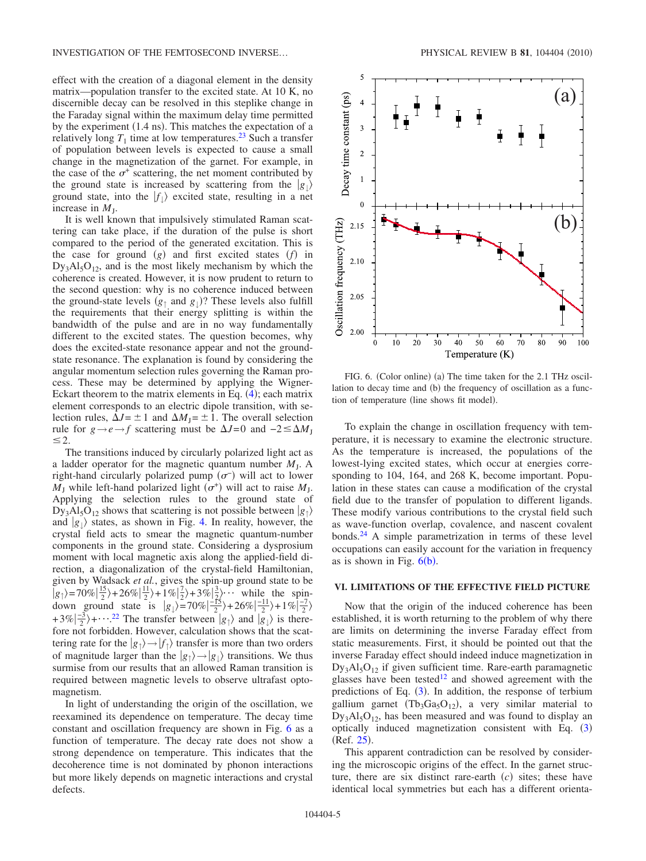effect with the creation of a diagonal element in the density matrix—population transfer to the excited state. At 10 K, no discernible decay can be resolved in this steplike change in the Faraday signal within the maximum delay time permitted by the experiment (1.4 ns). This matches the expectation of a relatively long  $T_1$  time at low temperatures.<sup>23</sup> Such a transfer of population between levels is expected to cause a small change in the magnetization of the garnet. For example, in the case of the  $\sigma^+$  scattering, the net moment contributed by the ground state is increased by scattering from the  $\left|g_1\right>$ ground state, into the  $\ket{f}$  excited state, resulting in a net increase in  $M_{\rm L}$ .

It is well known that impulsively stimulated Raman scattering can take place, if the duration of the pulse is short compared to the period of the generated excitation. This is the case for ground  $(g)$  and first excited states  $(f)$  in  $Dy_3Al_5O_{12}$ , and is the most likely mechanism by which the coherence is created. However, it is now prudent to return to the second question: why is no coherence induced between the ground-state levels  $(g_{\uparrow}$  and  $g_{\downarrow}$ )? These levels also fulfill the requirements that their energy splitting is within the bandwidth of the pulse and are in no way fundamentally different to the excited states. The question becomes, why does the excited-state resonance appear and not the groundstate resonance. The explanation is found by considering the angular momentum selection rules governing the Raman process. These may be determined by applying the Wigner-Eckart theorem to the matrix elements in Eq.  $(4)$  $(4)$  $(4)$ ; each matrix element corresponds to an electric dipole transition, with selection rules,  $\Delta J = \pm 1$  and  $\Delta M_J = \pm 1$ . The overall selection rule for  $g \rightarrow e \rightarrow f$  scattering must be  $\Delta J = 0$  and  $-2 \le \Delta M_J$  $\leq 2$ 

The transitions induced by circularly polarized light act as a ladder operator for the magnetic quantum number  $M<sub>I</sub>$ . A right-hand circularly polarized pump  $(\sigma^-)$  will act to lower  $M_J$  while left-hand polarized light  $(\sigma^+)$  will act to raise  $M_J$ . Applying the selection rules to the ground state of  $\text{Dy}_3\text{Al}_5\text{O}_{12}$  shows that scattering is not possible between  $\ket{g_1}$ and  $|g_{\downarrow}\rangle$  states, as shown in Fig. [4.](#page-3-2) In reality, however, the crystal field acts to smear the magnetic quantum-number components in the ground state. Considering a dysprosium moment with local magnetic axis along the applied-field direction, a diagonalization of the crystal-field Hamiltonian, given by Wadsack *et al.*, gives the spin-up ground state to be  $g_1$  = 70%  $\left|\frac{15}{2}\right\rangle$  + 26%  $\left|\frac{11}{2}\right\rangle$  + 1%  $\left|\frac{7}{2}\right\rangle$  + 3%  $\left|\frac{3}{2}\right\rangle$  while the spindown ground state is  $|g_1\rangle = 70\% \left| \frac{-15}{2} \right\rangle + 26\% \left| \frac{-11}{2} \right\rangle + 1\% \left| \frac{-7}{2} \right\rangle$ +3% $\vert \frac{3}{2} \rangle$ +…<sup>[22](#page-6-20)</sup> The transfer between  $\vert g_{\uparrow} \rangle$  and  $\vert g_{\downarrow} \rangle$  is therefore not forbidden. However, calculation shows that the scattering rate for the  $|g_1\rangle \rightarrow |f_1\rangle$  transfer is more than two orders of magnitude larger than the  $|g_{\uparrow}\rangle \rightarrow |g_{\downarrow}\rangle$  transitions. We thus surmise from our results that an allowed Raman transition is required between magnetic levels to observe ultrafast optomagnetism.

In light of understanding the origin of the oscillation, we reexamined its dependence on temperature. The decay time constant and oscillation frequency are shown in Fig. [6](#page-4-1) as a function of temperature. The decay rate does not show a strong dependence on temperature. This indicates that the decoherence time is not dominated by phonon interactions but more likely depends on magnetic interactions and crystal defects.

<span id="page-4-1"></span>

FIG. 6. (Color online) (a) The time taken for the 2.1 THz oscillation to decay time and (b) the frequency of oscillation as a function of temperature (line shows fit model).

To explain the change in oscillation frequency with temperature, it is necessary to examine the electronic structure. As the temperature is increased, the populations of the lowest-lying excited states, which occur at energies corresponding to 104, 164, and 268 K, become important. Population in these states can cause a modification of the crystal field due to the transfer of population to different ligands. These modify various contributions to the crystal field such as wave-function overlap, covalence, and nascent covalent bonds. $24$  A simple parametrization in terms of these level occupations can easily account for the variation in frequency as is shown in Fig.  $6(b)$  $6(b)$ .

## <span id="page-4-0"></span>**VI. LIMITATIONS OF THE EFFECTIVE FIELD PICTURE**

Now that the origin of the induced coherence has been established, it is worth returning to the problem of why there are limits on determining the inverse Faraday effect from static measurements. First, it should be pointed out that the inverse Faraday effect should indeed induce magnetization in  $Dy_3Al_5O_{12}$  if given sufficient time. Rare-earth paramagnetic glasses have been tested<sup>12</sup> and showed agreement with the predictions of Eq. ([3](#page-2-0)). In addition, the response of terbium gallium garnet  $(Tb_3Ga_5O_{12})$ , a very similar material to  $Dy_3Al_5O_{12}$ , has been measured and was found to display an optically induced magnetization consistent with Eq. ([3](#page-2-0)) (Ref. [25](#page-6-23)).

This apparent contradiction can be resolved by considering the microscopic origins of the effect. In the garnet structure, there are six distinct rare-earth  $(c)$  sites; these have identical local symmetries but each has a different orienta-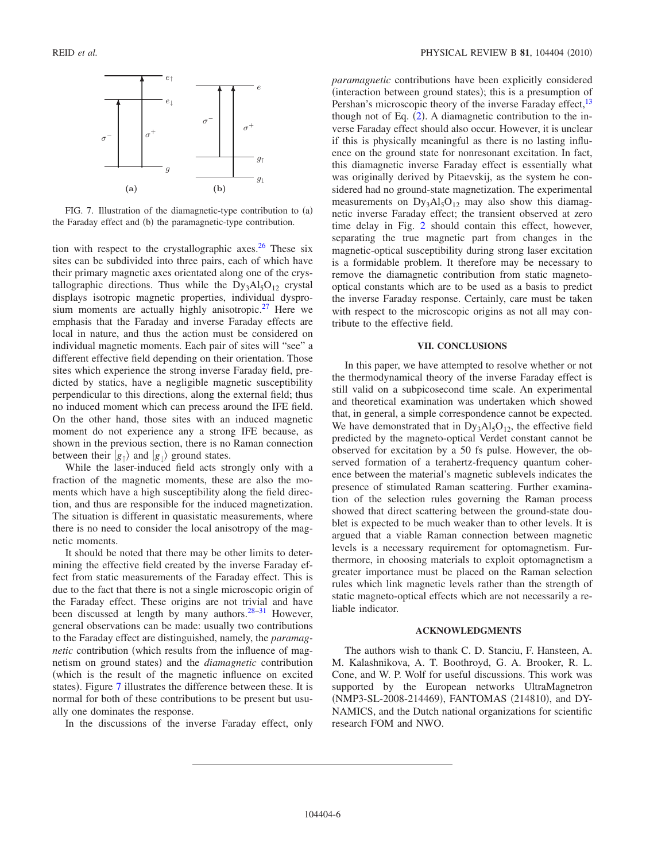<span id="page-5-1"></span>

FIG. 7. Illustration of the diamagnetic-type contribution to (a) the Faraday effect and (b) the paramagnetic-type contribution.

tion with respect to the crystallographic axes.<sup>26</sup> These six sites can be subdivided into three pairs, each of which have their primary magnetic axes orientated along one of the crystallographic directions. Thus while the  $Dy_3Al_5O_{12}$  crystal displays isotropic magnetic properties, individual dysprosium moments are actually highly anisotropic.<sup>27</sup> Here we emphasis that the Faraday and inverse Faraday effects are local in nature, and thus the action must be considered on individual magnetic moments. Each pair of sites will "see" a different effective field depending on their orientation. Those sites which experience the strong inverse Faraday field, predicted by statics, have a negligible magnetic susceptibility perpendicular to this directions, along the external field; thus no induced moment which can precess around the IFE field. On the other hand, those sites with an induced magnetic moment do not experience any a strong IFE because, as shown in the previous section, there is no Raman connection between their  $|g_{\uparrow}\rangle$  and  $|g_{\downarrow}\rangle$  ground states.

While the laser-induced field acts strongly only with a fraction of the magnetic moments, these are also the moments which have a high susceptibility along the field direction, and thus are responsible for the induced magnetization. The situation is different in quasistatic measurements, where there is no need to consider the local anisotropy of the magnetic moments.

It should be noted that there may be other limits to determining the effective field created by the inverse Faraday effect from static measurements of the Faraday effect. This is due to the fact that there is not a single microscopic origin of the Faraday effect. These origins are not trivial and have been discussed at length by many authors.<sup>28-31</sup> However, general observations can be made: usually two contributions to the Faraday effect are distinguished, namely, the *paramagnetic* contribution (which results from the influence of magnetism on ground states) and the *diamagnetic* contribution which is the result of the magnetic influence on excited states). Figure [7](#page-5-1) illustrates the difference between these. It is normal for both of these contributions to be present but usually one dominates the response.

In the discussions of the inverse Faraday effect, only

*paramagnetic* contributions have been explicitly considered (interaction between ground states); this is a presumption of Pershan's microscopic theory of the inverse Faraday effect, <sup>13</sup> though not of Eq.  $(2)$  $(2)$  $(2)$ . A diamagnetic contribution to the inverse Faraday effect should also occur. However, it is unclear if this is physically meaningful as there is no lasting influence on the ground state for nonresonant excitation. In fact, this diamagnetic inverse Faraday effect is essentially what was originally derived by Pitaevskij, as the system he considered had no ground-state magnetization. The experimental measurements on  $Dy_3Al_5O_{12}$  may also show this diamagnetic inverse Faraday effect; the transient observed at zero time delay in Fig. [2](#page-2-1) should contain this effect, however, separating the true magnetic part from changes in the magnetic-optical susceptibility during strong laser excitation is a formidable problem. It therefore may be necessary to remove the diamagnetic contribution from static magnetooptical constants which are to be used as a basis to predict the inverse Faraday response. Certainly, care must be taken with respect to the microscopic origins as not all may contribute to the effective field.

## **VII. CONCLUSIONS**

<span id="page-5-0"></span>In this paper, we have attempted to resolve whether or not the thermodynamical theory of the inverse Faraday effect is still valid on a subpicosecond time scale. An experimental and theoretical examination was undertaken which showed that, in general, a simple correspondence cannot be expected. We have demonstrated that in  $Dy_3Al_5O_{12}$ , the effective field predicted by the magneto-optical Verdet constant cannot be observed for excitation by a 50 fs pulse. However, the observed formation of a terahertz-frequency quantum coherence between the material's magnetic sublevels indicates the presence of stimulated Raman scattering. Further examination of the selection rules governing the Raman process showed that direct scattering between the ground-state doublet is expected to be much weaker than to other levels. It is argued that a viable Raman connection between magnetic levels is a necessary requirement for optomagnetism. Furthermore, in choosing materials to exploit optomagnetism a greater importance must be placed on the Raman selection rules which link magnetic levels rather than the strength of static magneto-optical effects which are not necessarily a reliable indicator.

#### **ACKNOWLEDGMENTS**

The authors wish to thank C. D. Stanciu, F. Hansteen, A. M. Kalashnikova, A. T. Boothroyd, G. A. Brooker, R. L. Cone, and W. P. Wolf for useful discussions. This work was supported by the European networks UltraMagnetron (NMP3-SL-2008-214469), FANTOMAS (214810), and DY-NAMICS, and the Dutch national organizations for scientific research FOM and NWO.